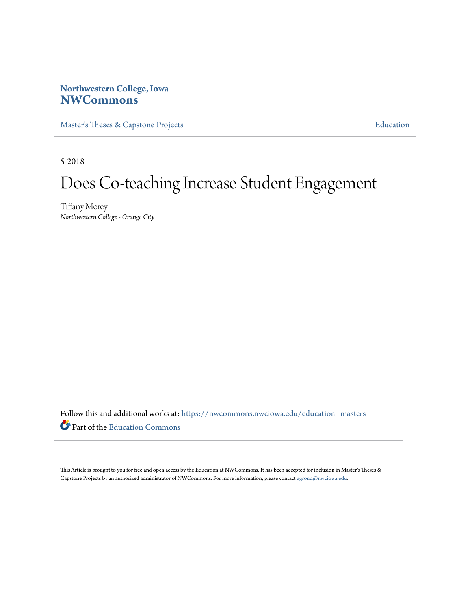# **Northwestern College, Iowa [NWCommons](https://nwcommons.nwciowa.edu?utm_source=nwcommons.nwciowa.edu%2Feducation_masters%2F82&utm_medium=PDF&utm_campaign=PDFCoverPages)**

[Master's Theses & Capstone Projects](https://nwcommons.nwciowa.edu/education_masters?utm_source=nwcommons.nwciowa.edu%2Feducation_masters%2F82&utm_medium=PDF&utm_campaign=PDFCoverPages) **[Education](https://nwcommons.nwciowa.edu/education?utm_source=nwcommons.nwciowa.edu%2Feducation_masters%2F82&utm_medium=PDF&utm_campaign=PDFCoverPages)** 

5-2018

# Does Co-teaching Increase Student Engagement

Tiffany Morey *Northwestern College - Orange City*

Follow this and additional works at: [https://nwcommons.nwciowa.edu/education\\_masters](https://nwcommons.nwciowa.edu/education_masters?utm_source=nwcommons.nwciowa.edu%2Feducation_masters%2F82&utm_medium=PDF&utm_campaign=PDFCoverPages) Part of the [Education Commons](http://network.bepress.com/hgg/discipline/784?utm_source=nwcommons.nwciowa.edu%2Feducation_masters%2F82&utm_medium=PDF&utm_campaign=PDFCoverPages)

This Article is brought to you for free and open access by the Education at NWCommons. It has been accepted for inclusion in Master's Theses & Capstone Projects by an authorized administrator of NWCommons. For more information, please contact [ggrond@nwciowa.edu.](mailto:ggrond@nwciowa.edu)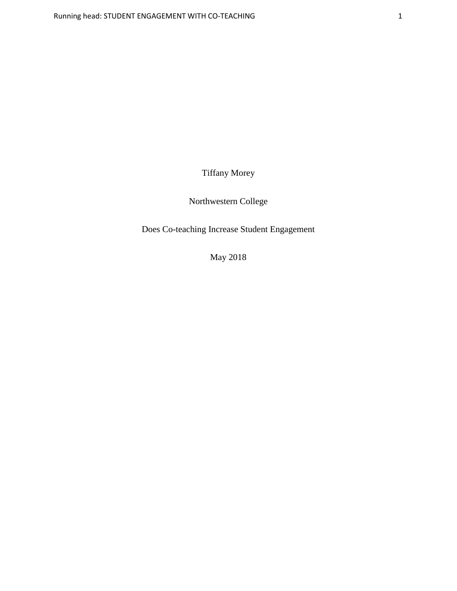Tiffany Morey

Northwestern College

Does Co-teaching Increase Student Engagement

May 2018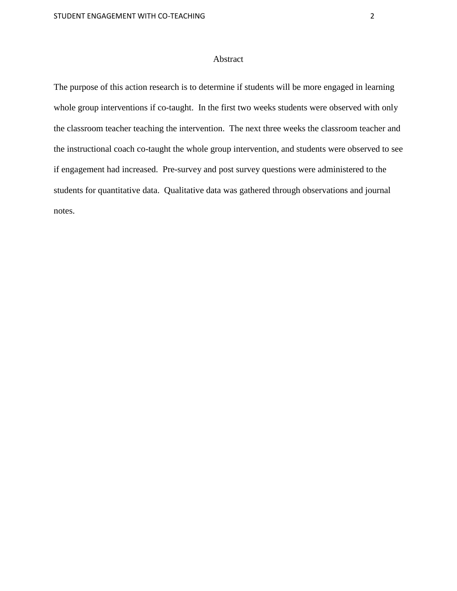#### Abstract

The purpose of this action research is to determine if students will be more engaged in learning whole group interventions if co-taught. In the first two weeks students were observed with only the classroom teacher teaching the intervention. The next three weeks the classroom teacher and the instructional coach co-taught the whole group intervention, and students were observed to see if engagement had increased. Pre-survey and post survey questions were administered to the students for quantitative data. Qualitative data was gathered through observations and journal notes.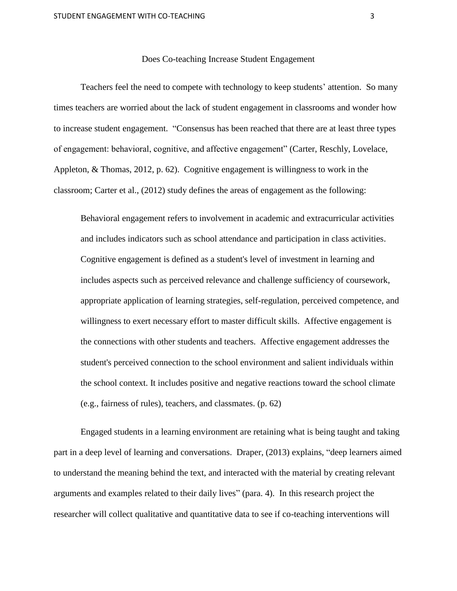#### Does Co-teaching Increase Student Engagement

Teachers feel the need to compete with technology to keep students' attention. So many times teachers are worried about the lack of student engagement in classrooms and wonder how to increase student engagement. "Consensus has been reached that there are at least three types of engagement: behavioral, cognitive, and affective engagement" (Carter, Reschly, Lovelace, Appleton, & Thomas, 2012, p. 62). Cognitive engagement is willingness to work in the classroom; Carter et al., (2012) study defines the areas of engagement as the following:

Behavioral engagement refers to involvement in academic and extracurricular activities and includes indicators such as school attendance and participation in class activities. Cognitive engagement is defined as a student's level of investment in learning and includes aspects such as perceived relevance and challenge sufficiency of coursework, appropriate application of learning strategies, self-regulation, perceived competence, and willingness to exert necessary effort to master difficult skills. Affective engagement is the connections with other students and teachers. Affective engagement addresses the student's perceived connection to the school environment and salient individuals within the school context. It includes positive and negative reactions toward the school climate (e.g., fairness of rules), teachers, and classmates. (p. 62)

Engaged students in a learning environment are retaining what is being taught and taking part in a deep level of learning and conversations. Draper, (2013) explains, "deep learners aimed to understand the meaning behind the text, and interacted with the material by creating relevant arguments and examples related to their daily lives" (para. 4). In this research project the researcher will collect qualitative and quantitative data to see if co-teaching interventions will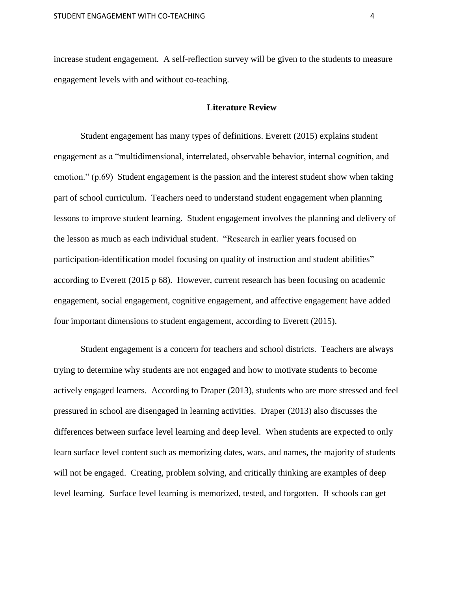increase student engagement. A self-reflection survey will be given to the students to measure engagement levels with and without co-teaching.

#### **Literature Review**

Student engagement has many types of definitions. Everett (2015) explains student engagement as a "multidimensional, interrelated, observable behavior, internal cognition, and emotion." (p.69) Student engagement is the passion and the interest student show when taking part of school curriculum. Teachers need to understand student engagement when planning lessons to improve student learning. Student engagement involves the planning and delivery of the lesson as much as each individual student. "Research in earlier years focused on participation-identification model focusing on quality of instruction and student abilities" according to Everett (2015 p 68). However, current research has been focusing on academic engagement, social engagement, cognitive engagement, and affective engagement have added four important dimensions to student engagement, according to Everett (2015).

Student engagement is a concern for teachers and school districts. Teachers are always trying to determine why students are not engaged and how to motivate students to become actively engaged learners. According to Draper (2013), students who are more stressed and feel pressured in school are disengaged in learning activities. Draper (2013) also discusses the differences between surface level learning and deep level. When students are expected to only learn surface level content such as memorizing dates, wars, and names, the majority of students will not be engaged. Creating, problem solving, and critically thinking are examples of deep level learning. Surface level learning is memorized, tested, and forgotten. If schools can get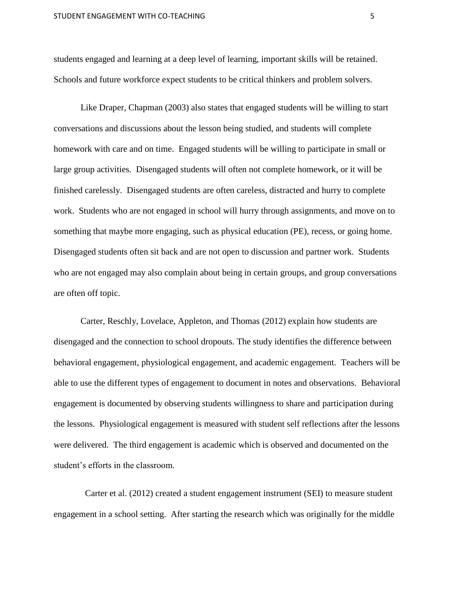students engaged and learning at a deep level of learning, important skills will be retained. Schools and future workforce expect students to be critical thinkers and problem solvers.

Like Draper, Chapman (2003) also states that engaged students will be willing to start conversations and discussions about the lesson being studied, and students will complete homework with care and on time. Engaged students will be willing to participate in small or large group activities. Disengaged students will often not complete homework, or it will be finished carelessly. Disengaged students are often careless, distracted and hurry to complete work. Students who are not engaged in school will hurry through assignments, and move on to something that maybe more engaging, such as physical education (PE), recess, or going home. Disengaged students often sit back and are not open to discussion and partner work. Students who are not engaged may also complain about being in certain groups, and group conversations are often off topic.

Carter, Reschly, Lovelace, Appleton, and Thomas (2012) explain how students are disengaged and the connection to school dropouts. The study identifies the difference between behavioral engagement, physiological engagement, and academic engagement. Teachers will be able to use the different types of engagement to document in notes and observations. Behavioral engagement is documented by observing students willingness to share and participation during the lessons. Physiological engagement is measured with student self reflections after the lessons were delivered. The third engagement is academic which is observed and documented on the student's efforts in the classroom.

Carter et al. (2012) created a student engagement instrument (SEI) to measure student engagement in a school setting. After starting the research which was originally for the middle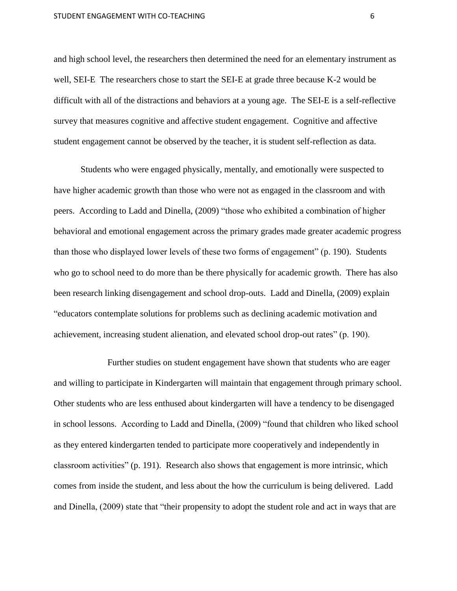and high school level, the researchers then determined the need for an elementary instrument as well, SEI-E The researchers chose to start the SEI-E at grade three because K-2 would be difficult with all of the distractions and behaviors at a young age. The SEI-E is a self-reflective survey that measures cognitive and affective student engagement. Cognitive and affective student engagement cannot be observed by the teacher, it is student self-reflection as data.

Students who were engaged physically, mentally, and emotionally were suspected to have higher academic growth than those who were not as engaged in the classroom and with peers. According to Ladd and Dinella, (2009) "those who exhibited a combination of higher behavioral and emotional engagement across the primary grades made greater academic progress than those who displayed lower levels of these two forms of engagement" (p. 190). Students who go to school need to do more than be there physically for academic growth. There has also been research linking disengagement and school drop-outs. Ladd and Dinella, (2009) explain "educators contemplate solutions for problems such as declining academic motivation and achievement, increasing student alienation, and elevated school drop-out rates" (p. 190).

Further studies on student engagement have shown that students who are eager and willing to participate in Kindergarten will maintain that engagement through primary school. Other students who are less enthused about kindergarten will have a tendency to be disengaged in school lessons. According to Ladd and Dinella, (2009) "found that children who liked school as they entered kindergarten tended to participate more cooperatively and independently in classroom activities" (p. 191). Research also shows that engagement is more intrinsic, which comes from inside the student, and less about the how the curriculum is being delivered. Ladd and Dinella, (2009) state that "their propensity to adopt the student role and act in ways that are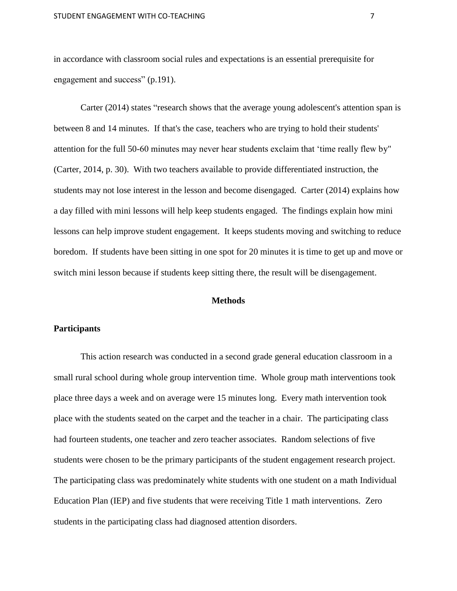in accordance with classroom social rules and expectations is an essential prerequisite for engagement and success" (p.191).

Carter (2014) states "research shows that the average young adolescent's attention span is between 8 and 14 minutes. If that's the case, teachers who are trying to hold their students' attention for the full 50-60 minutes may never hear students exclaim that 'time really flew by" (Carter, 2014, p. 30). With two teachers available to provide differentiated instruction, the students may not lose interest in the lesson and become disengaged. Carter (2014) explains how a day filled with mini lessons will help keep students engaged. The findings explain how mini lessons can help improve student engagement. It keeps students moving and switching to reduce boredom. If students have been sitting in one spot for 20 minutes it is time to get up and move or switch mini lesson because if students keep sitting there, the result will be disengagement.

#### **Methods**

#### **Participants**

This action research was conducted in a second grade general education classroom in a small rural school during whole group intervention time. Whole group math interventions took place three days a week and on average were 15 minutes long. Every math intervention took place with the students seated on the carpet and the teacher in a chair. The participating class had fourteen students, one teacher and zero teacher associates. Random selections of five students were chosen to be the primary participants of the student engagement research project. The participating class was predominately white students with one student on a math Individual Education Plan (IEP) and five students that were receiving Title 1 math interventions. Zero students in the participating class had diagnosed attention disorders.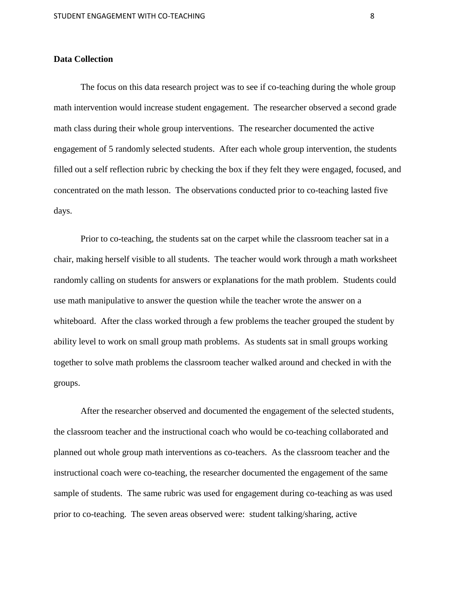#### **Data Collection**

The focus on this data research project was to see if co-teaching during the whole group math intervention would increase student engagement. The researcher observed a second grade math class during their whole group interventions. The researcher documented the active engagement of 5 randomly selected students. After each whole group intervention, the students filled out a self reflection rubric by checking the box if they felt they were engaged, focused, and concentrated on the math lesson. The observations conducted prior to co-teaching lasted five days.

Prior to co-teaching, the students sat on the carpet while the classroom teacher sat in a chair, making herself visible to all students. The teacher would work through a math worksheet randomly calling on students for answers or explanations for the math problem. Students could use math manipulative to answer the question while the teacher wrote the answer on a whiteboard. After the class worked through a few problems the teacher grouped the student by ability level to work on small group math problems. As students sat in small groups working together to solve math problems the classroom teacher walked around and checked in with the groups.

After the researcher observed and documented the engagement of the selected students, the classroom teacher and the instructional coach who would be co-teaching collaborated and planned out whole group math interventions as co-teachers. As the classroom teacher and the instructional coach were co-teaching, the researcher documented the engagement of the same sample of students. The same rubric was used for engagement during co-teaching as was used prior to co-teaching. The seven areas observed were: student talking/sharing, active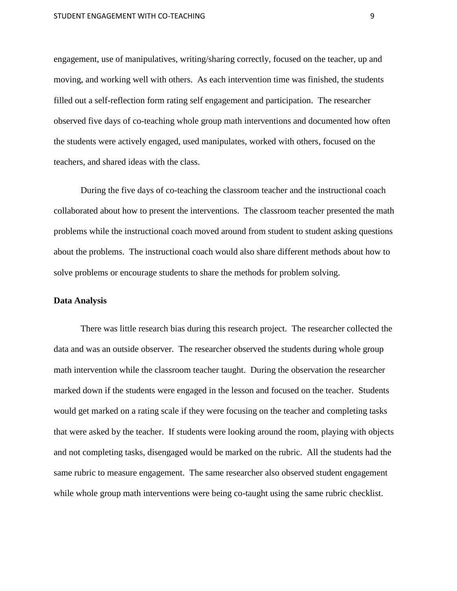engagement, use of manipulatives, writing/sharing correctly, focused on the teacher, up and moving, and working well with others. As each intervention time was finished, the students filled out a self-reflection form rating self engagement and participation. The researcher observed five days of co-teaching whole group math interventions and documented how often the students were actively engaged, used manipulates, worked with others, focused on the teachers, and shared ideas with the class.

During the five days of co-teaching the classroom teacher and the instructional coach collaborated about how to present the interventions. The classroom teacher presented the math problems while the instructional coach moved around from student to student asking questions about the problems. The instructional coach would also share different methods about how to solve problems or encourage students to share the methods for problem solving.

#### **Data Analysis**

There was little research bias during this research project. The researcher collected the data and was an outside observer. The researcher observed the students during whole group math intervention while the classroom teacher taught. During the observation the researcher marked down if the students were engaged in the lesson and focused on the teacher. Students would get marked on a rating scale if they were focusing on the teacher and completing tasks that were asked by the teacher. If students were looking around the room, playing with objects and not completing tasks, disengaged would be marked on the rubric. All the students had the same rubric to measure engagement. The same researcher also observed student engagement while whole group math interventions were being co-taught using the same rubric checklist.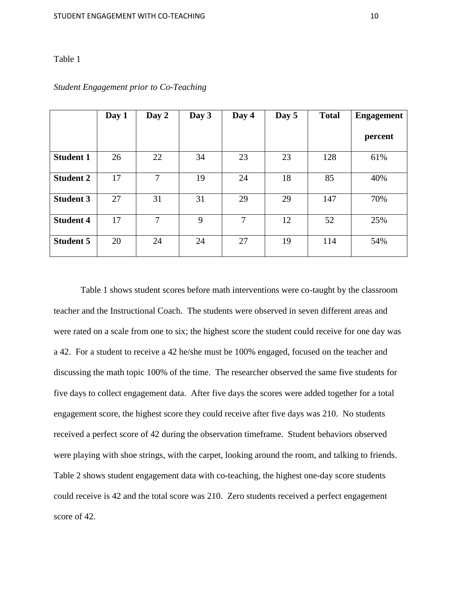#### Table 1

|                  | Day 1 | Day 2          | Day 3 | Day 4 | Day 5 | <b>Total</b> | <b>Engagement</b> |
|------------------|-------|----------------|-------|-------|-------|--------------|-------------------|
|                  |       |                |       |       |       |              | percent           |
| <b>Student 1</b> | 26    | 22             | 34    | 23    | 23    | 128          | 61%               |
| <b>Student 2</b> | 17    | $\overline{7}$ | 19    | 24    | 18    | 85           | 40%               |
| <b>Student 3</b> | 27    | 31             | 31    | 29    | 29    | 147          | 70%               |
| <b>Student 4</b> | 17    | $\overline{7}$ | 9     | 7     | 12    | 52           | 25%               |
| <b>Student 5</b> | 20    | 24             | 24    | 27    | 19    | 114          | 54%               |

#### *Student Engagement prior to Co-Teaching*

Table 1 shows student scores before math interventions were co-taught by the classroom teacher and the Instructional Coach. The students were observed in seven different areas and were rated on a scale from one to six; the highest score the student could receive for one day was a 42. For a student to receive a 42 he/she must be 100% engaged, focused on the teacher and discussing the math topic 100% of the time. The researcher observed the same five students for five days to collect engagement data. After five days the scores were added together for a total engagement score, the highest score they could receive after five days was 210. No students received a perfect score of 42 during the observation timeframe. Student behaviors observed were playing with shoe strings, with the carpet, looking around the room, and talking to friends. Table 2 shows student engagement data with co-teaching, the highest one-day score students could receive is 42 and the total score was 210. Zero students received a perfect engagement score of 42.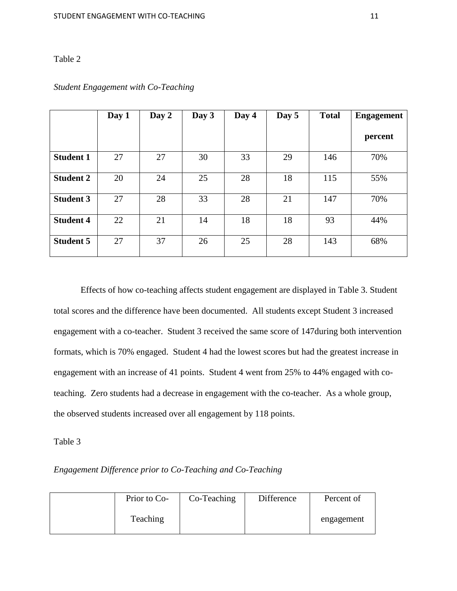# Table 2

|                  | Day 1 | Day 2 | Day 3 | Day 4 | Day 5 | <b>Total</b> | <b>Engagement</b> |
|------------------|-------|-------|-------|-------|-------|--------------|-------------------|
|                  |       |       |       |       |       |              | percent           |
| <b>Student 1</b> | 27    | 27    | 30    | 33    | 29    | 146          | 70%               |
| <b>Student 2</b> | 20    | 24    | 25    | 28    | 18    | 115          | 55%               |
| <b>Student 3</b> | 27    | 28    | 33    | 28    | 21    | 147          | 70%               |
| <b>Student 4</b> | 22    | 21    | 14    | 18    | 18    | 93           | 44%               |
| <b>Student 5</b> | 27    | 37    | 26    | 25    | 28    | 143          | 68%               |

# *Student Engagement with Co-Teaching*

Effects of how co-teaching affects student engagement are displayed in Table 3. Student total scores and the difference have been documented. All students except Student 3 increased engagement with a co-teacher. Student 3 received the same score of 147during both intervention formats, which is 70% engaged. Student 4 had the lowest scores but had the greatest increase in engagement with an increase of 41 points. Student 4 went from 25% to 44% engaged with coteaching. Zero students had a decrease in engagement with the co-teacher. As a whole group, the observed students increased over all engagement by 118 points.

#### Table 3

*Engagement Difference prior to Co-Teaching and Co-Teaching*

| Prior to Co- | Co-Teaching | Difference | Percent of |
|--------------|-------------|------------|------------|
| Teaching     |             |            | engagement |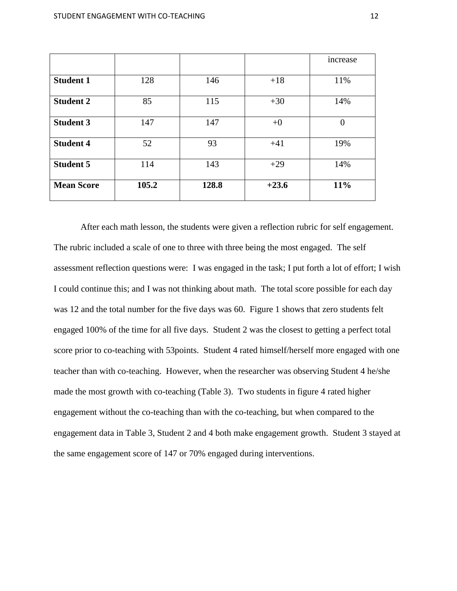|                   |       |       |         | increase |
|-------------------|-------|-------|---------|----------|
|                   |       |       |         |          |
| <b>Student 1</b>  | 128   | 146   | $+18$   | 11%      |
| <b>Student 2</b>  | 85    | 115   | $+30$   | 14%      |
| <b>Student 3</b>  | 147   | 147   | $+0$    | $\theta$ |
| <b>Student 4</b>  | 52    | 93    | $+41$   | 19%      |
| <b>Student 5</b>  | 114   | 143   | $+29$   | 14%      |
| <b>Mean Score</b> | 105.2 | 128.8 | $+23.6$ | $11\%$   |

After each math lesson, the students were given a reflection rubric for self engagement. The rubric included a scale of one to three with three being the most engaged. The self assessment reflection questions were: I was engaged in the task; I put forth a lot of effort; I wish I could continue this; and I was not thinking about math. The total score possible for each day was 12 and the total number for the five days was 60. Figure 1 shows that zero students felt engaged 100% of the time for all five days. Student 2 was the closest to getting a perfect total score prior to co-teaching with 53points. Student 4 rated himself/herself more engaged with one teacher than with co-teaching. However, when the researcher was observing Student 4 he/she made the most growth with co-teaching (Table 3). Two students in figure 4 rated higher engagement without the co-teaching than with the co-teaching, but when compared to the engagement data in Table 3, Student 2 and 4 both make engagement growth. Student 3 stayed at the same engagement score of 147 or 70% engaged during interventions.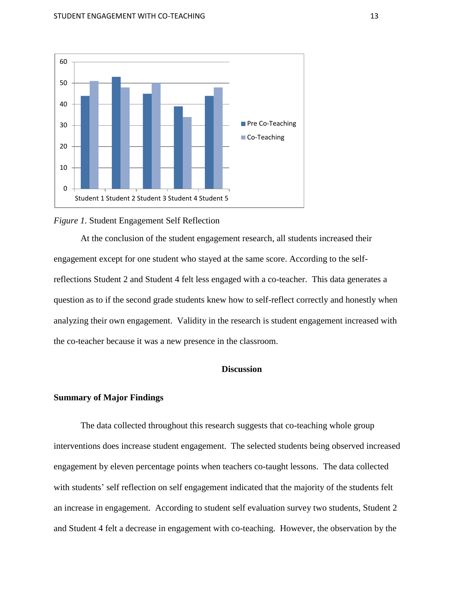



At the conclusion of the student engagement research, all students increased their engagement except for one student who stayed at the same score. According to the selfreflections Student 2 and Student 4 felt less engaged with a co-teacher. This data generates a question as to if the second grade students knew how to self-reflect correctly and honestly when analyzing their own engagement. Validity in the research is student engagement increased with the co-teacher because it was a new presence in the classroom.

# **Discussion**

#### **Summary of Major Findings**

The data collected throughout this research suggests that co-teaching whole group interventions does increase student engagement. The selected students being observed increased engagement by eleven percentage points when teachers co-taught lessons. The data collected with students' self reflection on self engagement indicated that the majority of the students felt an increase in engagement. According to student self evaluation survey two students, Student 2 and Student 4 felt a decrease in engagement with co-teaching. However, the observation by the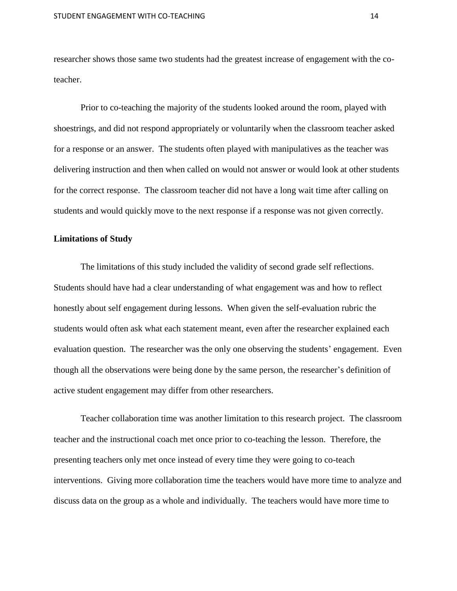researcher shows those same two students had the greatest increase of engagement with the coteacher.

Prior to co-teaching the majority of the students looked around the room, played with shoestrings, and did not respond appropriately or voluntarily when the classroom teacher asked for a response or an answer. The students often played with manipulatives as the teacher was delivering instruction and then when called on would not answer or would look at other students for the correct response. The classroom teacher did not have a long wait time after calling on students and would quickly move to the next response if a response was not given correctly.

#### **Limitations of Study**

The limitations of this study included the validity of second grade self reflections. Students should have had a clear understanding of what engagement was and how to reflect honestly about self engagement during lessons. When given the self-evaluation rubric the students would often ask what each statement meant, even after the researcher explained each evaluation question. The researcher was the only one observing the students' engagement. Even though all the observations were being done by the same person, the researcher's definition of active student engagement may differ from other researchers.

Teacher collaboration time was another limitation to this research project. The classroom teacher and the instructional coach met once prior to co-teaching the lesson. Therefore, the presenting teachers only met once instead of every time they were going to co-teach interventions. Giving more collaboration time the teachers would have more time to analyze and discuss data on the group as a whole and individually. The teachers would have more time to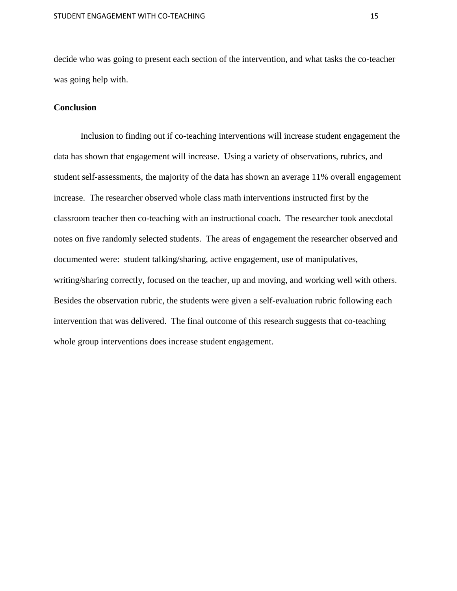decide who was going to present each section of the intervention, and what tasks the co-teacher was going help with.

## **Conclusion**

Inclusion to finding out if co-teaching interventions will increase student engagement the data has shown that engagement will increase. Using a variety of observations, rubrics, and student self-assessments, the majority of the data has shown an average 11% overall engagement increase. The researcher observed whole class math interventions instructed first by the classroom teacher then co-teaching with an instructional coach. The researcher took anecdotal notes on five randomly selected students. The areas of engagement the researcher observed and documented were: student talking/sharing, active engagement, use of manipulatives, writing/sharing correctly, focused on the teacher, up and moving, and working well with others. Besides the observation rubric, the students were given a self-evaluation rubric following each intervention that was delivered. The final outcome of this research suggests that co-teaching whole group interventions does increase student engagement.